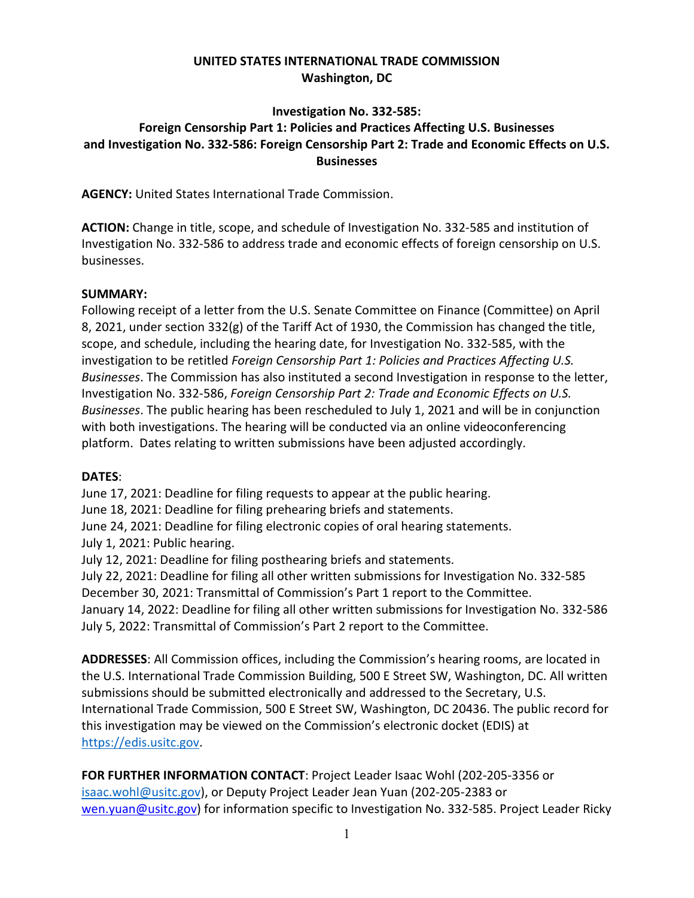## **UNITED STATES INTERNATIONAL TRADE COMMISSION Washington, DC**

### **Investigation No. 332-585:**

# **Foreign Censorship Part 1: Policies and Practices Affecting U.S. Businesses and Investigation No. 332-586: Foreign Censorship Part 2: Trade and Economic Effects on U.S. Businesses**

**AGENCY:** United States International Trade Commission.

**ACTION:** Change in title, scope, and schedule of Investigation No. 332-585 and institution of Investigation No. 332-586 to address trade and economic effects of foreign censorship on U.S. businesses.

#### **SUMMARY:**

Following receipt of a letter from the U.S. Senate Committee on Finance (Committee) on April 8, 2021, under section 332(g) of the Tariff Act of 1930, the Commission has changed the title, scope, and schedule, including the hearing date, for Investigation No. 332-585, with the investigation to be retitled *Foreign Censorship Part 1: Policies and Practices Affecting U.S. Businesses*. The Commission has also instituted a second Investigation in response to the letter, Investigation No. 332-586, *Foreign Censorship Part 2: Trade and Economic Effects on U.S. Businesses*. The public hearing has been rescheduled to July 1, 2021 and will be in conjunction with both investigations. The hearing will be conducted via an online videoconferencing platform. Dates relating to written submissions have been adjusted accordingly.

#### **DATES**:

June 17, 2021: Deadline for filing requests to appear at the public hearing.

June 18, 2021: Deadline for filing prehearing briefs and statements.

June 24, 2021: Deadline for filing electronic copies of oral hearing statements.

July 1, 2021: Public hearing.

July 12, 2021: Deadline for filing posthearing briefs and statements.

July 22, 2021: Deadline for filing all other written submissions for Investigation No. 332-585 December 30, 2021: Transmittal of Commission's Part 1 report to the Committee. January 14, 2022: Deadline for filing all other written submissions for Investigation No. 332-586 July 5, 2022: Transmittal of Commission's Part 2 report to the Committee.

**ADDRESSES**: All Commission offices, including the Commission's hearing rooms, are located in the U.S. International Trade Commission Building, 500 E Street SW, Washington, DC. All written submissions should be submitted electronically and addressed to the Secretary, U.S. International Trade Commission, 500 E Street SW, Washington, DC 20436. The public record for this investigation may be viewed on the Commission's electronic docket (EDIS) at [https://edis.usitc.gov.](https://edis.usitc.gov/)

## **FOR FURTHER INFORMATION CONTACT**: Project Leader Isaac Wohl (202-205-3356 or

[isaac.wohl@usitc.gov\)](mailto:isaac.wohl@usitc.gov), or Deputy Project Leader Jean Yuan (202-205-2383 or [wen.yuan@usitc.gov\)](mailto:wen.yuan@usitc.gov) for information specific to Investigation No. 332-585. Project Leader Ricky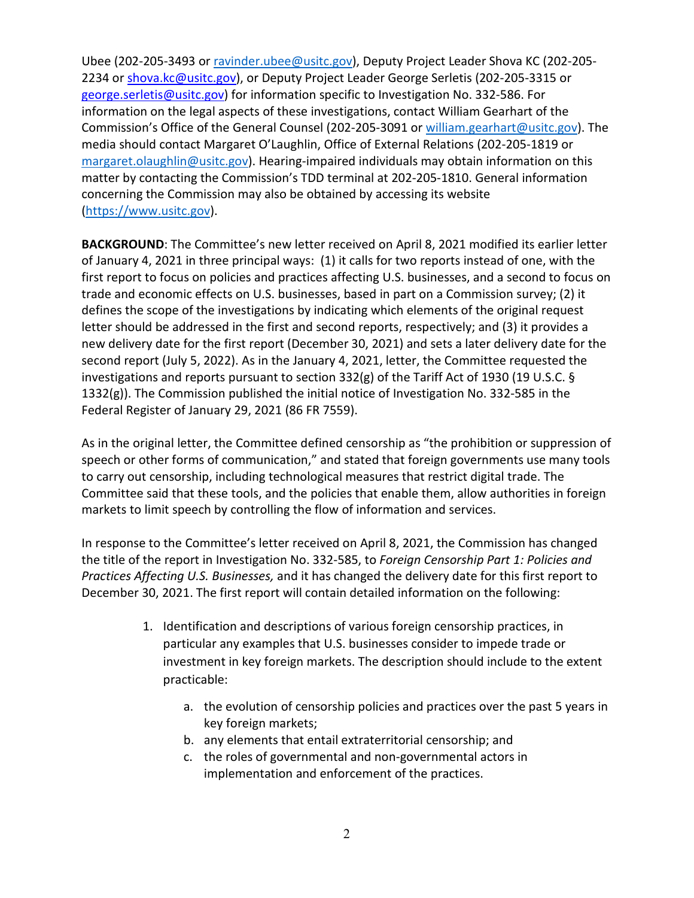Ubee (202-205-3493 or [ravinder.ubee@usitc.gov\)](mailto:ravinder.ubee@usitc.gov), Deputy Project Leader Shova KC (202-205 2234 or [shova.kc@usitc.gov\)](mailto:shova.kc@usitc.gov), or Deputy Project Leader George Serletis (202-205-3315 or [george.serletis@usitc.gov\)](mailto:george.serletis@usitc.gov) for information specific to Investigation No. 332-586. For information on the legal aspects of these investigations, contact William Gearhart of the Commission's Office of the General Counsel (202-205-3091 o[r william.gearhart@usitc.gov\)](mailto:william.gearhart@usitc.gov). The media should contact Margaret O'Laughlin, Office of External Relations (202-205-1819 or [margaret.olaughlin@usitc.gov\)](mailto:margaret.olaughlin@usitc.gov). Hearing-impaired individuals may obtain information on this matter by contacting the Commission's TDD terminal at 202-205-1810. General information concerning the Commission may also be obtained by accessing its website [\(https://www.usitc.gov\)](https://www.usitc.gov/).

**BACKGROUND**: The Committee's new letter received on April 8, 2021 modified its earlier letter of January 4, 2021 in three principal ways: (1) it calls for two reports instead of one, with the first report to focus on policies and practices affecting U.S. businesses, and a second to focus on trade and economic effects on U.S. businesses, based in part on a Commission survey; (2) it defines the scope of the investigations by indicating which elements of the original request letter should be addressed in the first and second reports, respectively; and (3) it provides a new delivery date for the first report (December 30, 2021) and sets a later delivery date for the second report (July 5, 2022). As in the January 4, 2021, letter, the Committee requested the investigations and reports pursuant to section 332(g) of the Tariff Act of 1930 (19 U.S.C. § 1332(g)). The Commission published the initial notice of Investigation No. 332-585 in the Federal Register of January 29, 2021 (86 FR 7559).

As in the original letter, the Committee defined censorship as "the prohibition or suppression of speech or other forms of communication," and stated that foreign governments use many tools to carry out censorship, including technological measures that restrict digital trade. The Committee said that these tools, and the policies that enable them, allow authorities in foreign markets to limit speech by controlling the flow of information and services.

In response to the Committee's letter received on April 8, 2021, the Commission has changed the title of the report in Investigation No. 332-585, to *Foreign Censorship Part 1: Policies and Practices Affecting U.S. Businesses,* and it has changed the delivery date for this first report to December 30, 2021. The first report will contain detailed information on the following:

- 1. Identification and descriptions of various foreign censorship practices, in particular any examples that U.S. businesses consider to impede trade or investment in key foreign markets. The description should include to the extent practicable:
	- a. the evolution of censorship policies and practices over the past 5 years in key foreign markets;
	- b. any elements that entail extraterritorial censorship; and
	- c. the roles of governmental and non-governmental actors in implementation and enforcement of the practices.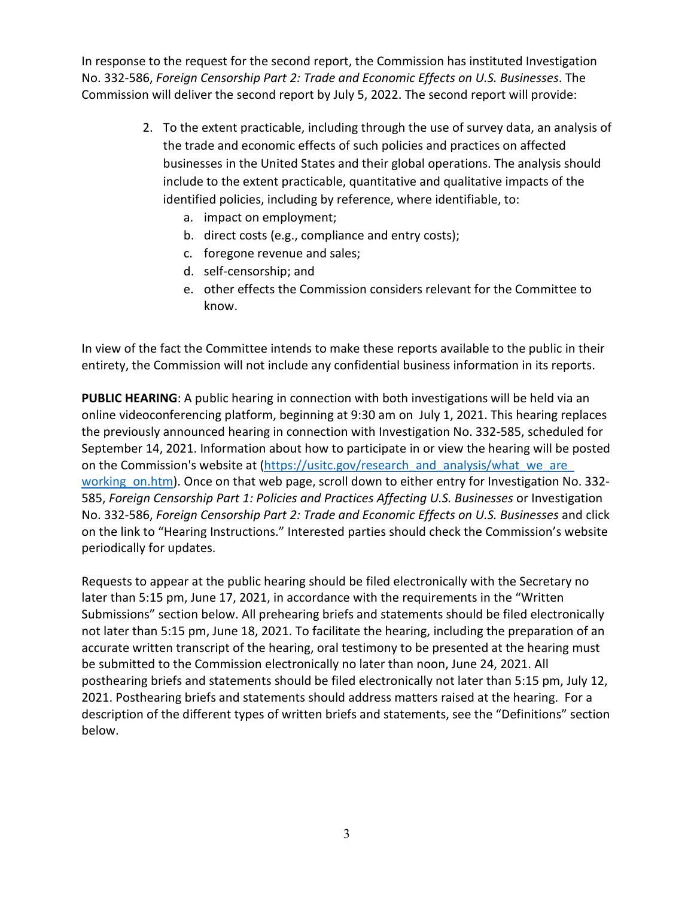In response to the request for the second report, the Commission has instituted Investigation No. 332-586, *Foreign Censorship Part 2: Trade and Economic Effects on U.S. Businesses*. The Commission will deliver the second report by July 5, 2022. The second report will provide:

- 2. To the extent practicable, including through the use of survey data, an analysis of the trade and economic effects of such policies and practices on affected businesses in the United States and their global operations. The analysis should include to the extent practicable, quantitative and qualitative impacts of the identified policies, including by reference, where identifiable, to:
	- a. impact on employment;
	- b. direct costs (e.g., compliance and entry costs);
	- c. foregone revenue and sales;
	- d. self-censorship; and
	- e. other effects the Commission considers relevant for the Committee to know.

In view of the fact the Committee intends to make these reports available to the public in their entirety, the Commission will not include any confidential business information in its reports.

**PUBLIC HEARING**: A public hearing in connection with both investigations will be held via an online videoconferencing platform, beginning at 9:30 am on July 1, 2021. This hearing replaces the previously announced hearing in connection with Investigation No. 332-585, scheduled for September 14, 2021. Information about how to participate in or view the hearing will be posted on the Commission's website at [\(https://usitc.gov/research\\_and\\_analysis/what\\_we\\_are\\_](https://usitc.gov/%E2%80%8Bresearch_%E2%80%8Band_%E2%80%8Banalysis/%E2%80%8Bwhat_%E2%80%8Bwe_%E2%80%8Bare_%E2%80%8Bworking_%E2%80%8Bon.htm) working on.htm). Once on that web page, scroll down to either entry for Investigation No. 332-585, *Foreign Censorship Part 1: Policies and Practices Affecting U.S. Businesses* or Investigation No. 332-586, *Foreign Censorship Part 2: Trade and Economic Effects on U.S. Businesses* and click on the link to "Hearing Instructions." Interested parties should check the Commission's website periodically for updates.

Requests to appear at the public hearing should be filed electronically with the Secretary no later than 5:15 pm, June 17, 2021, in accordance with the requirements in the "Written Submissions" section below. All prehearing briefs and statements should be filed electronically not later than 5:15 pm, June 18, 2021. To facilitate the hearing, including the preparation of an accurate written transcript of the hearing, oral testimony to be presented at the hearing must be submitted to the Commission electronically no later than noon, June 24, 2021. All posthearing briefs and statements should be filed electronically not later than 5:15 pm, July 12, 2021. Posthearing briefs and statements should address matters raised at the hearing. For a description of the different types of written briefs and statements, see the "Definitions" section below.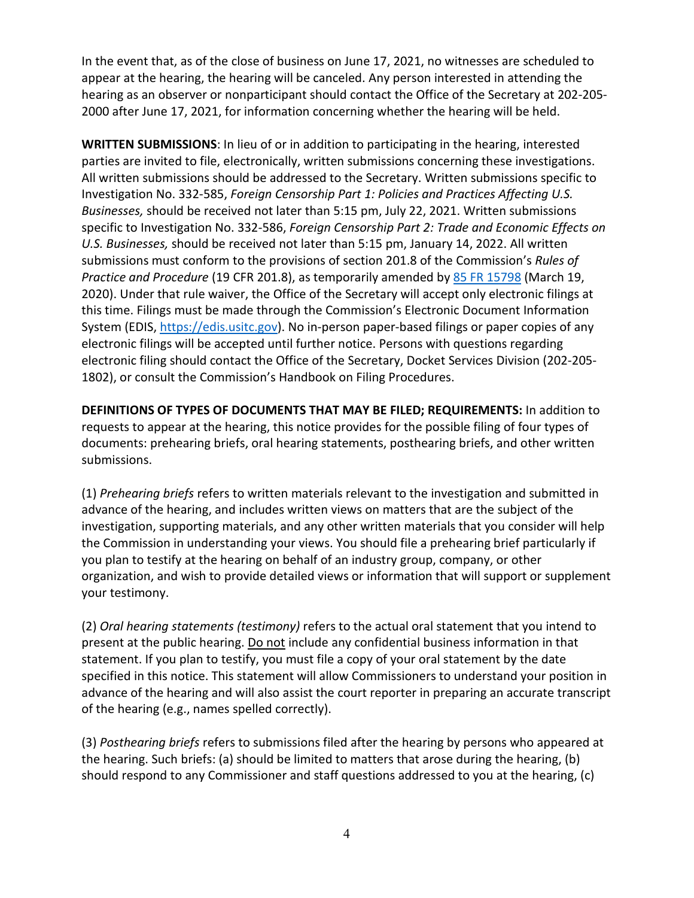In the event that, as of the close of business on June 17, 2021, no witnesses are scheduled to appear at the hearing, the hearing will be canceled. Any person interested in attending the hearing as an observer or nonparticipant should contact the Office of the Secretary at 202-205- 2000 after June 17, 2021, for information concerning whether the hearing will be held.

**WRITTEN SUBMISSIONS**: In lieu of or in addition to participating in the hearing, interested parties are invited to file, electronically, written submissions concerning these investigations. All written submissions should be addressed to the Secretary. Written submissions specific to Investigation No. 332-585, *Foreign Censorship Part 1: Policies and Practices Affecting U.S. Businesses,* should be received not later than 5:15 pm, July 22, 2021. Written submissions specific to Investigation No. 332-586, *Foreign Censorship Part 2: Trade and Economic Effects on U.S. Businesses,* should be received not later than 5:15 pm, January 14, 2022. All written submissions must conform to the provisions of section 201.8 of the Commission's *Rules of Practice and Procedure* (19 CFR 201.8), as temporarily amended by [85 FR 15798](https://www.govinfo.gov/content/pkg/FR-2020-03-19/pdf/2020-05767.pdf) (March 19, 2020). Under that rule waiver, the Office of the Secretary will accept only electronic filings at this time. Filings must be made through the Commission's Electronic Document Information System (EDIS, [https://edis.usitc.gov\)](https://edis.usitc.gov/). No in-person paper-based filings or paper copies of any electronic filings will be accepted until further notice. Persons with questions regarding electronic filing should contact the Office of the Secretary, Docket Services Division (202-205- 1802), or consult the Commission's Handbook on Filing Procedures.

**DEFINITIONS OF TYPES OF DOCUMENTS THAT MAY BE FILED; REQUIREMENTS:** In addition to requests to appear at the hearing, this notice provides for the possible filing of four types of documents: prehearing briefs, oral hearing statements, posthearing briefs, and other written submissions.

(1) *Prehearing briefs* refers to written materials relevant to the investigation and submitted in advance of the hearing, and includes written views on matters that are the subject of the investigation, supporting materials, and any other written materials that you consider will help the Commission in understanding your views. You should file a prehearing brief particularly if you plan to testify at the hearing on behalf of an industry group, company, or other organization, and wish to provide detailed views or information that will support or supplement your testimony.

(2) *Oral hearing statements (testimony)* refers to the actual oral statement that you intend to present at the public hearing. Do not include any confidential business information in that statement. If you plan to testify, you must file a copy of your oral statement by the date specified in this notice. This statement will allow Commissioners to understand your position in advance of the hearing and will also assist the court reporter in preparing an accurate transcript of the hearing (e.g., names spelled correctly).

(3) *Posthearing briefs* refers to submissions filed after the hearing by persons who appeared at the hearing. Such briefs: (a) should be limited to matters that arose during the hearing, (b) should respond to any Commissioner and staff questions addressed to you at the hearing, (c)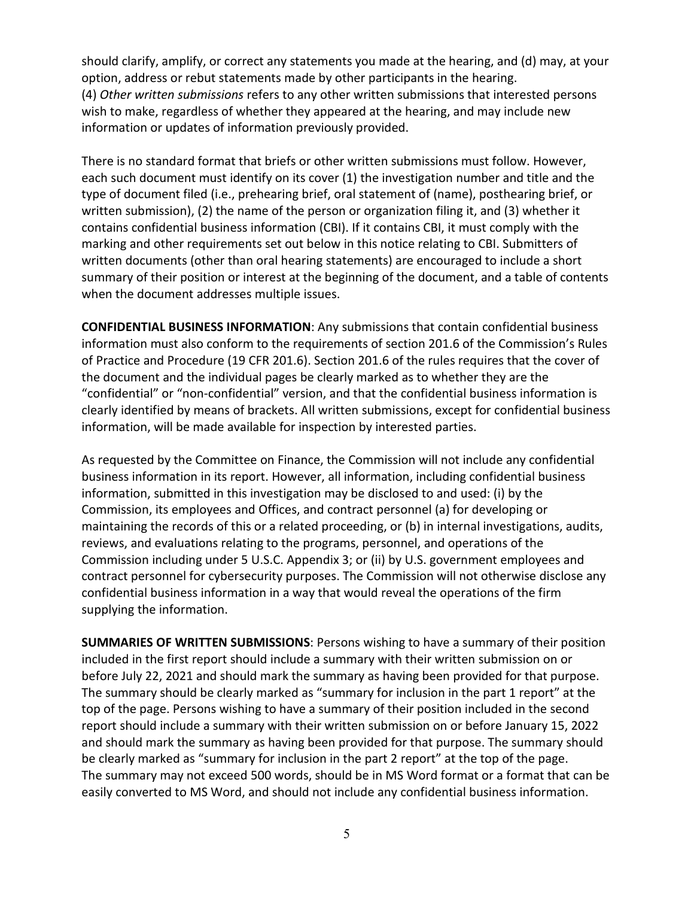should clarify, amplify, or correct any statements you made at the hearing, and (d) may, at your option, address or rebut statements made by other participants in the hearing. (4) *Other written submissions* refers to any other written submissions that interested persons wish to make, regardless of whether they appeared at the hearing, and may include new information or updates of information previously provided.

There is no standard format that briefs or other written submissions must follow. However, each such document must identify on its cover (1) the investigation number and title and the type of document filed (i.e., prehearing brief, oral statement of (name), posthearing brief, or written submission), (2) the name of the person or organization filing it, and (3) whether it contains confidential business information (CBI). If it contains CBI, it must comply with the marking and other requirements set out below in this notice relating to CBI. Submitters of written documents (other than oral hearing statements) are encouraged to include a short summary of their position or interest at the beginning of the document, and a table of contents when the document addresses multiple issues.

**CONFIDENTIAL BUSINESS INFORMATION**: Any submissions that contain confidential business information must also conform to the requirements of section 201.6 of the Commission's Rules of Practice and Procedure (19 CFR 201.6). Section 201.6 of the rules requires that the cover of the document and the individual pages be clearly marked as to whether they are the "confidential" or "non-confidential" version, and that the confidential business information is clearly identified by means of brackets. All written submissions, except for confidential business information, will be made available for inspection by interested parties.

As requested by the Committee on Finance, the Commission will not include any confidential business information in its report. However, all information, including confidential business information, submitted in this investigation may be disclosed to and used: (i) by the Commission, its employees and Offices, and contract personnel (a) for developing or maintaining the records of this or a related proceeding, or (b) in internal investigations, audits, reviews, and evaluations relating to the programs, personnel, and operations of the Commission including under 5 U.S.C. Appendix 3; or (ii) by U.S. government employees and contract personnel for cybersecurity purposes. The Commission will not otherwise disclose any confidential business information in a way that would reveal the operations of the firm supplying the information.

**SUMMARIES OF WRITTEN SUBMISSIONS**: Persons wishing to have a summary of their position included in the first report should include a summary with their written submission on or before July 22, 2021 and should mark the summary as having been provided for that purpose. The summary should be clearly marked as "summary for inclusion in the part 1 report" at the top of the page. Persons wishing to have a summary of their position included in the second report should include a summary with their written submission on or before January 15, 2022 and should mark the summary as having been provided for that purpose. The summary should be clearly marked as "summary for inclusion in the part 2 report" at the top of the page. The summary may not exceed 500 words, should be in MS Word format or a format that can be easily converted to MS Word, and should not include any confidential business information.